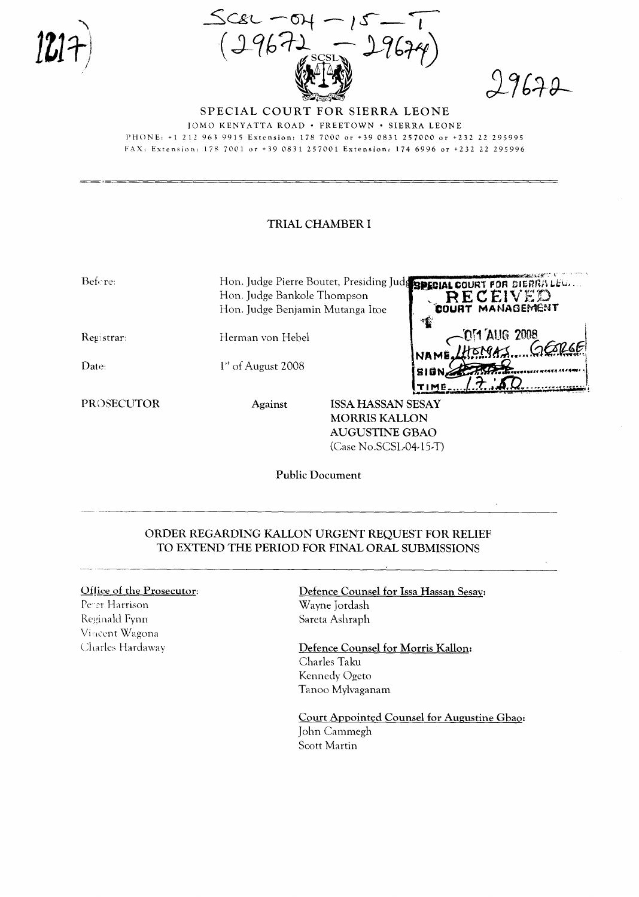$29670$ 

SPECIAL COURT FOR SIERRA LEONE JOMO KENYATTA ROAD . FREETOWN . SIERRA LEONE PHONE: +1 212 963 9915 Extension: 178 7000 or +39 0831 257000 or +232 22 295995 FAX: Extension: 178 7001 or +39 0831 257001 Extension: 174 6996 or +232 22 295996

## TRIAL CHAMBER I

| Before:           |                                  | and the cold of the cold of the cold<br>Hon. Judge Pierre Boutet, Presiding Judg BPIGIAL COURT FOR SIERRALEU. |
|-------------------|----------------------------------|---------------------------------------------------------------------------------------------------------------|
|                   | Hon. Judge Bankole Thompson      | RECEIVED                                                                                                      |
|                   | Hon. Judge Benjamin Mutanga Itoe | COURT MANAGEMENT                                                                                              |
|                   |                                  | ক্ষ                                                                                                           |
| Registrar:        | Herman von Hebel                 |                                                                                                               |
|                   |                                  | NAME HEMPA 2008                                                                                               |
| Date:             | $1st$ of August 2008             |                                                                                                               |
|                   |                                  | <b>SION,</b>                                                                                                  |
|                   |                                  | TIME                                                                                                          |
| <b>PROSECUTOR</b> | Against                          | <b>ISSA HASSAN SESAY</b>                                                                                      |
|                   |                                  | <b>MORRIS KALLON</b>                                                                                          |
|                   | AUGUSTINE GBAO                   |                                                                                                               |

(Case No.SCSL-04-15-T)

**Public Document** 

## ORDER REGARDING KALLON URGENT REQUEST FOR RELIEF TO EXTEND THE PERIOD FOR FINAL ORAL SUBMISSIONS

## Office of the Prosecutor:

Perer Harrison Reginald Fynn Vincent Wagona Charles Hardaway Defence Counsel for Issa Hassan Sesay: Wayne Jordash Sareta Ashraph

Defence Counsel for Morris Kallon: Charles Taku Kennedy Ogeto Tanoo Mylvaganam

Court Appointed Counsel for Augustine Gbao: John Cammegh Scott Martin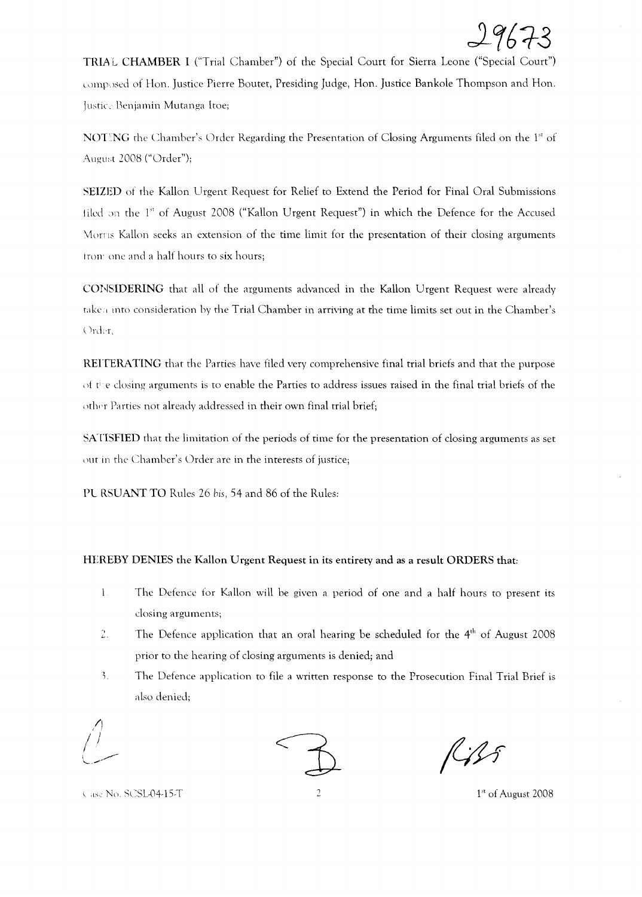

TRIA L CHAMBER I ("Trial Chamber") of the Special Court for Sierra Leone ("Special Court") composed of Hon. Justice Pierre Boutet, Presiding Judge, Hon. Justice Bankole Thompson and Hon. Justice Benjamin Mutanga Itoe;

NOTING the Chamber's Order Regarding the Presentation of Closing Arguments filed on the 1<sup>st</sup> of August 2008 ("Order");

SEIZED of the Kallon Urgent Request for Relief to Extend the Period for Final Oral Submissions tiled on the 1<sup>st</sup> of August 2008 ("Kallon Urgent Request") in which the Defence for the Accused Moms Kallon seeks an extension of the time limit for the presentation of their closing arguments from one and a half hours to six hours;

CONSIDERING that all of the arguments advanced in the Kallon Urgent Request were already taken into consideration by the Trial Chamber in arriving at the time limits set out in the Chamber's Order.

REITERATING that the Parties have filed very comprehensive final trial briefs and that the purpose of tie dosing arguments is to enable the Parties to address issues raised in the final trial briefs of the other Parties not already addressed in their own final trial brief;

SATISFIED that the limitation of the periods of time for the presentation of closing arguments as set out in the Chamber's Order are in the interests of justice;

PL RSUANT TO Rules 26 bis, 54 and 86 of the Rules:

## HEREBY DENIES the Kallan Urgent Request in its entirety and as a result ORDERS that:

- $\mathbf{l}$ . The Defence for Kallon will be given a period of one and a half hours to present its closing arguments;
- The Defence application that an oral hearing be scheduled for the  $4<sup>th</sup>$  of August 2008 2. prior to the hearing of closing arguments is denied; and
- ), The Defence application to file a written response to the Prosecution Final Trial Brief is also denied;



\ dS Nu, SCSL04-15-T ::. 1" of August 2008